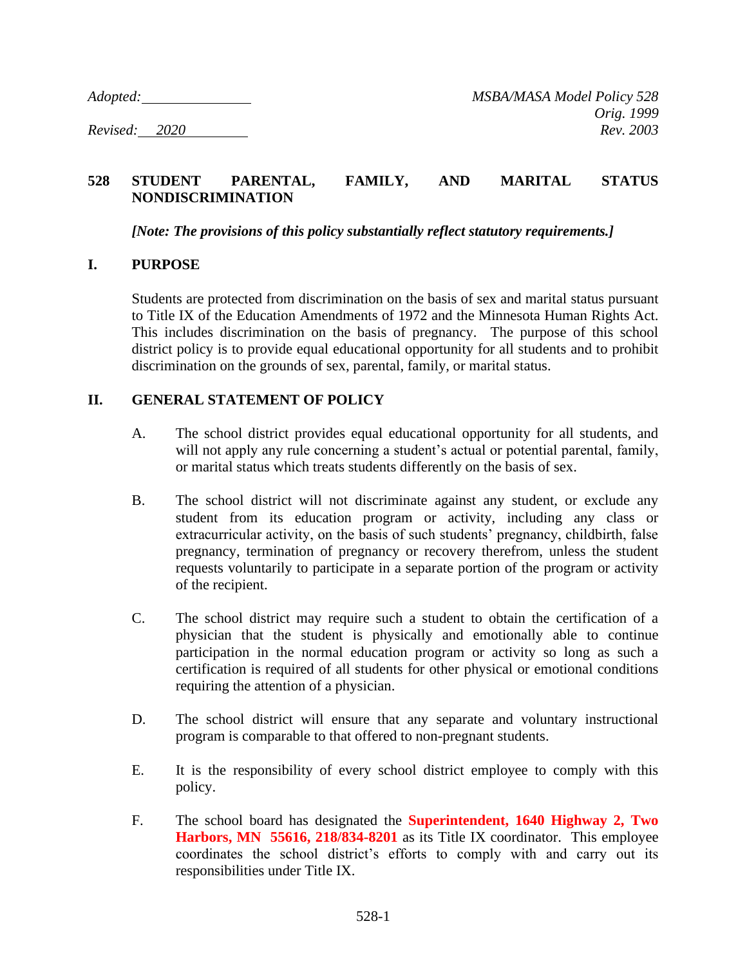## **528 STUDENT PARENTAL, FAMILY, AND MARITAL STATUS NONDISCRIMINATION**

*[Note: The provisions of this policy substantially reflect statutory requirements.]*

## **I. PURPOSE**

Students are protected from discrimination on the basis of sex and marital status pursuant to Title IX of the Education Amendments of 1972 and the Minnesota Human Rights Act. This includes discrimination on the basis of pregnancy. The purpose of this school district policy is to provide equal educational opportunity for all students and to prohibit discrimination on the grounds of sex, parental, family, or marital status.

## **II. GENERAL STATEMENT OF POLICY**

- A. The school district provides equal educational opportunity for all students, and will not apply any rule concerning a student's actual or potential parental, family, or marital status which treats students differently on the basis of sex.
- B. The school district will not discriminate against any student, or exclude any student from its education program or activity, including any class or extracurricular activity, on the basis of such students' pregnancy, childbirth, false pregnancy, termination of pregnancy or recovery therefrom, unless the student requests voluntarily to participate in a separate portion of the program or activity of the recipient.
- C. The school district may require such a student to obtain the certification of a physician that the student is physically and emotionally able to continue participation in the normal education program or activity so long as such a certification is required of all students for other physical or emotional conditions requiring the attention of a physician.
- D. The school district will ensure that any separate and voluntary instructional program is comparable to that offered to non-pregnant students.
- E. It is the responsibility of every school district employee to comply with this policy.
- F. The school board has designated the **Superintendent, 1640 Highway 2, Two Harbors, MN 55616, 218/834-8201** as its Title IX coordinator. This employee coordinates the school district's efforts to comply with and carry out its responsibilities under Title IX.